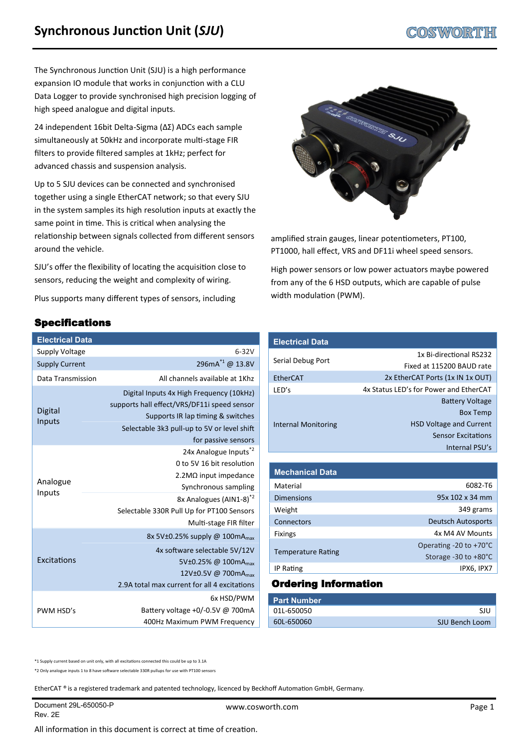The Synchronous Junction Unit (SJU) is a high performance expansion IO module that works in conjunction with a CLU Data Logger to provide synchronised high precision logging of high speed analogue and digital inputs.

24 independent 16bit Delta-Sigma (ΔΣ) ADCs each sample simultaneously at 50kHz and incorporate multi-stage FIR filters to provide filtered samples at 1kHz; perfect for advanced chassis and suspension analysis.

Up to 5 SJU devices can be connected and synchronised together using a single EtherCAT network; so that every SJU in the system samples its high resolution inputs at exactly the same point in time. This is critical when analysing the relationship between signals collected from different sensors around the vehicle.

SJU's offer the flexibility of locating the acquisition close to sensors, reducing the weight and complexity of wiring.

Plus supports many different types of sensors, including

## Specifications

| <b>Electrical Data</b> |                                                                                                                                                                                                                                      |
|------------------------|--------------------------------------------------------------------------------------------------------------------------------------------------------------------------------------------------------------------------------------|
| <b>Supply Voltage</b>  | $6 - 32V$                                                                                                                                                                                                                            |
| <b>Supply Current</b>  | 296mA <sup>*1</sup> @ 13.8V                                                                                                                                                                                                          |
| Data Transmission      | All channels available at 1Khz                                                                                                                                                                                                       |
| Digital<br>Inputs      | Digital Inputs 4x High Frequency (10kHz)<br>supports hall effect/VRS/DF11i speed sensor<br>Supports IR lap timing & switches<br>Selectable 3k3 pull-up to 5V or level shift<br>for passive sensors                                   |
| Analogue<br>Inputs     | 24x Analogue Inputs <sup>*2</sup><br>0 to 5V 16 bit resolution<br>$2.2M\Omega$ input impedance<br>Synchronous sampling<br>8x Analogues (AIN1-8) <sup>*2</sup><br>Selectable 330R Pull Up for PT100 Sensors<br>Multi-stage FIR filter |
| Excitations            | 8x 5V $\pm$ 0.25% supply @ 100mA <sub>max</sub><br>4x software selectable 5V/12V<br>5V±0.25% @ 100mA <sub>max</sub><br>12V±0.5V @ 700mA <sub>max</sub><br>2.9A total max current for all 4 excitations                               |
| PWM HSD's              | 6x HSD/PWM<br>Battery voltage +0/-0.5V @ 700mA<br>400Hz Maximum PWM Frequency                                                                                                                                                        |



amplified strain gauges, linear potentiometers, PT100, PT1000, hall effect, VRS and DF11i wheel speed sensors.

High power sensors or low power actuators maybe powered from any of the 6 HSD outputs, which are capable of pulse width modulation (PWM).

# **Electrical Data**

|                            | 1x Bi-directional RS232                |
|----------------------------|----------------------------------------|
| Serial Debug Port          | Fixed at 115200 BAUD rate              |
| <b>EtherCAT</b>            | 2x EtherCAT Ports (1x IN 1x OUT)       |
| LED's                      | 4x Status LED's for Power and EtherCAT |
|                            | <b>Battery Voltage</b>                 |
|                            | <b>Box Temp</b>                        |
| <b>Internal Monitoring</b> | <b>HSD Voltage and Current</b>         |
|                            | <b>Sensor Excitations</b>              |
|                            | Internal PSU's                         |

| <b>Mechanical Data</b>    |                                  |
|---------------------------|----------------------------------|
| Material                  | 6082-T6                          |
| <b>Dimensions</b>         | 95x 102 x 34 mm                  |
| Weight                    | 349 grams                        |
| Connectors                | <b>Deutsch Autosports</b>        |
| <b>Fixings</b>            | 4x M4 AV Mounts                  |
|                           | Operating -20 to $+70^{\circ}$ C |
| <b>Temperature Rating</b> | Storage -30 to +80°C             |
| IP Rating                 | IPX6, IPX7                       |

## Ordering Information

| <b>Part Number</b> |                |
|--------------------|----------------|
| 01L-650050         | -SIU           |
| 60L-650060         | SJU Bench Loom |

\*1 Supply current based on unit only, with all excitations connected this could be up to 3.1A

\*2 Only analogue inputs 1 to 8 have software selectable 330R pullups for use with PT100 sensors

EtherCAT ® is a registered trademark and patented technology, licenced by Beckhoff Automation GmbH, Germany.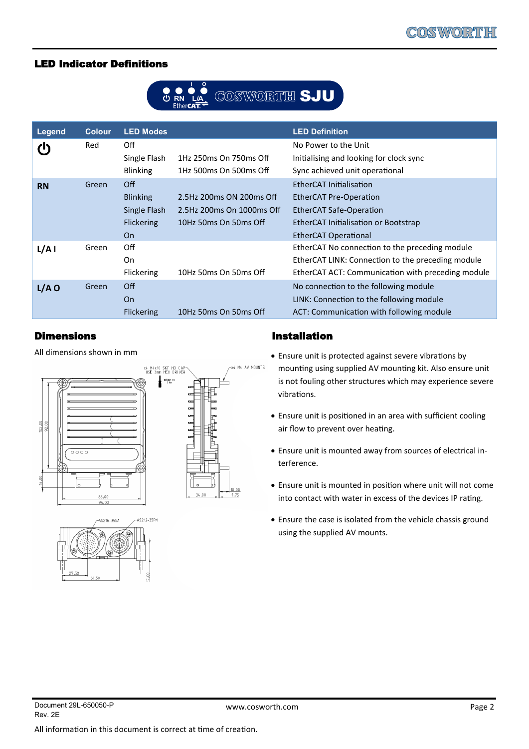#### LED Indicator Definitions



| Legend    | <b>Colour</b> | <b>LED Modes</b>  |                           | <b>LED Definition</b>                             |
|-----------|---------------|-------------------|---------------------------|---------------------------------------------------|
|           | Red           | Off               |                           | No Power to the Unit                              |
|           |               | Single Flash      | 1Hz 250ms On 750ms Off    | Initialising and looking for clock sync           |
|           |               | <b>Blinking</b>   | 1Hz 500ms On 500ms Off    | Sync achieved unit operational                    |
| <b>RN</b> | Green         | Off               |                           | EtherCAT Initialisation                           |
|           |               | <b>Blinking</b>   | 2.5Hz 200ms ON 200ms Off  | <b>EtherCAT Pre-Operation</b>                     |
|           |               | Single Flash      | 2.5Hz 200ms On 1000ms Off | <b>EtherCAT Safe-Operation</b>                    |
|           |               | <b>Flickering</b> | 10Hz 50ms On 50ms Off     | EtherCAT Initialisation or Bootstrap              |
|           |               | <b>On</b>         |                           | EtherCAT Operational                              |
| L/A I     | Green         | Off               |                           | EtherCAT No connection to the preceding module    |
|           |               | On                |                           | EtherCAT LINK: Connection to the preceding module |
|           |               | Flickering        | 10Hz 50ms On 50ms Off     | EtherCAT ACT: Communication with preceding module |
| $L/A$ O   | Green         | Off               |                           | No connection to the following module             |
|           |               | <b>On</b>         |                           | LINK: Connection to the following module          |
|           |               | <b>Flickering</b> | 10Hz 50ms On 50ms Off     | ACT: Communication with following module          |

#### Dimensions

All dimensions shown in mm





### Installation

- Ensure unit is protected against severe vibrations by mounting using supplied AV mounting kit. Also ensure unit is not fouling other structures which may experience severe vibrations.
- Ensure unit is positioned in an area with sufficient cooling air flow to prevent over heating.
- Ensure unit is mounted away from sources of electrical interference.
- Ensure unit is mounted in position where unit will not come into contact with water in excess of the devices IP rating.
- Ensure the case is isolated from the vehicle chassis ground using the supplied AV mounts.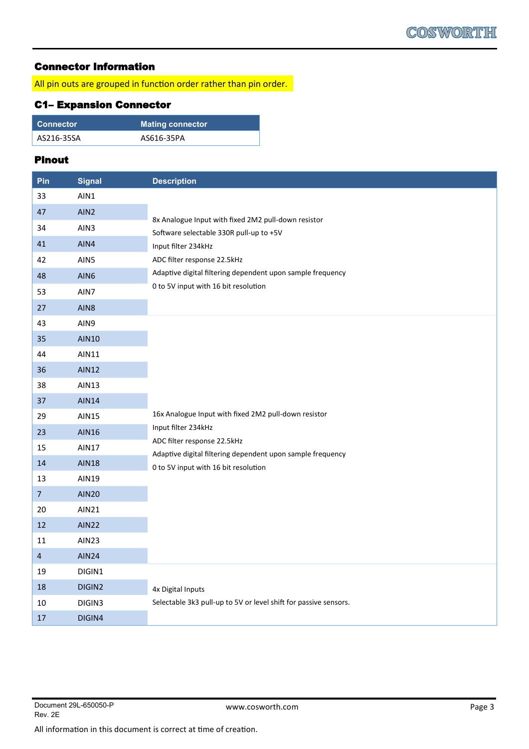### Connector Information

All pin outs are grouped in function order rather than pin order.

## C1– Expansion Connector

| Connector  | <b>Mating connector</b> |
|------------|-------------------------|
| AS216-35SA | AS616-35PA              |

#### Pinout

| Pin            | <b>Signal</b>    | <b>Description</b>                                                                                 |
|----------------|------------------|----------------------------------------------------------------------------------------------------|
| 33             | AIN1             |                                                                                                    |
| 47             | AIN <sub>2</sub> |                                                                                                    |
| 34             | AIN3             | 8x Analogue Input with fixed 2M2 pull-down resistor<br>Software selectable 330R pull-up to +5V     |
| 41             | AIN4             | Input filter 234kHz                                                                                |
| 42             | AIN5             | ADC filter response 22.5kHz                                                                        |
| 48             | AIN6             | Adaptive digital filtering dependent upon sample frequency                                         |
| 53             | AIN7             | 0 to 5V input with 16 bit resolution                                                               |
| 27             | AIN8             |                                                                                                    |
| 43             | AIN9             |                                                                                                    |
| 35             | <b>AIN10</b>     |                                                                                                    |
| 44             | AIN11            |                                                                                                    |
| 36             | <b>AIN12</b>     |                                                                                                    |
| 38             | <b>AIN13</b>     |                                                                                                    |
| 37             | <b>AIN14</b>     |                                                                                                    |
| 29             | <b>AIN15</b>     | 16x Analogue Input with fixed 2M2 pull-down resistor                                               |
| 23             | <b>AIN16</b>     | Input filter 234kHz                                                                                |
| 15             | <b>AIN17</b>     | ADC filter response 22.5kHz                                                                        |
| 14             | <b>AIN18</b>     | Adaptive digital filtering dependent upon sample frequency<br>0 to 5V input with 16 bit resolution |
| 13             | <b>AIN19</b>     |                                                                                                    |
| $\overline{7}$ | <b>AIN20</b>     |                                                                                                    |
| 20             | <b>AIN21</b>     |                                                                                                    |
| 12             | <b>AIN22</b>     |                                                                                                    |
| 11             | <b>AIN23</b>     |                                                                                                    |
| $\overline{a}$ | <b>AIN24</b>     |                                                                                                    |
| 19             | DIGIN1           |                                                                                                    |
| 18             | DIGIN2           | 4x Digital Inputs                                                                                  |
| $10\,$         | DIGIN3           | Selectable 3k3 pull-up to 5V or level shift for passive sensors.                                   |
| $17\,$         | DIGIN4           |                                                                                                    |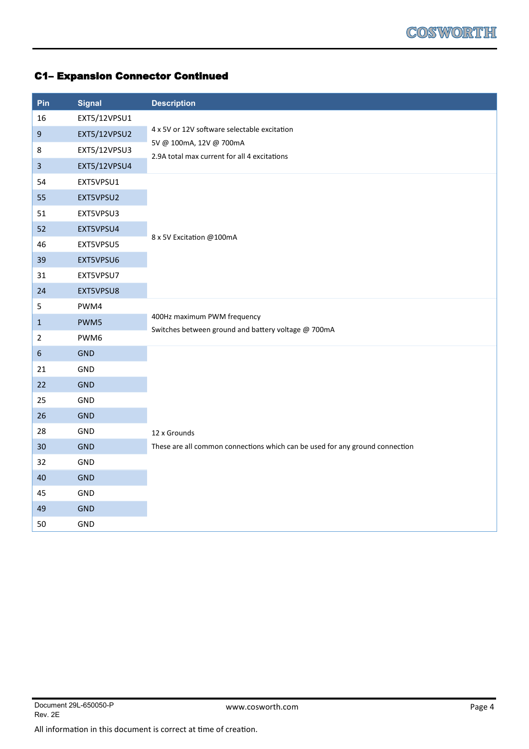# C1– Expansion Connector Continued

| Pin                     | <b>Signal</b> | <b>Description</b>                                                                 |
|-------------------------|---------------|------------------------------------------------------------------------------------|
| 16                      | EXT5/12VPSU1  |                                                                                    |
| $\boldsymbol{9}$        | EXT5/12VPSU2  | 4 x 5V or 12V software selectable excitation                                       |
| $\,8\,$                 | EXT5/12VPSU3  | 5V @ 100mA, 12V @ 700mA<br>2.9A total max current for all 4 excitations            |
| $\overline{\mathbf{3}}$ | EXT5/12VPSU4  |                                                                                    |
| 54                      | EXT5VPSU1     |                                                                                    |
| 55                      | EXT5VPSU2     |                                                                                    |
| 51                      | EXT5VPSU3     |                                                                                    |
| 52                      | EXT5VPSU4     |                                                                                    |
| 46                      | EXT5VPSU5     | 8 x 5V Excitation @100mA                                                           |
| 39                      | EXT5VPSU6     |                                                                                    |
| 31                      | EXT5VPSU7     |                                                                                    |
| 24                      | EXT5VPSU8     |                                                                                    |
| 5                       | PWM4          |                                                                                    |
| $\mathbf{1}$            | PWM5          | 400Hz maximum PWM frequency<br>Switches between ground and battery voltage @ 700mA |
| $\overline{2}$          | PWM6          |                                                                                    |
| $6\phantom{a}$          | <b>GND</b>    |                                                                                    |
| 21                      | GND           |                                                                                    |
| 22                      | <b>GND</b>    |                                                                                    |
| 25                      | GND           |                                                                                    |
| 26                      | <b>GND</b>    |                                                                                    |
| 28                      | GND           | 12 x Grounds                                                                       |
| 30                      | <b>GND</b>    | These are all common connections which can be used for any ground connection       |
| 32                      | GND           |                                                                                    |
| 40                      | <b>GND</b>    |                                                                                    |
| 45                      | GND           |                                                                                    |
| 49                      | <b>GND</b>    |                                                                                    |
| 50                      | GND           |                                                                                    |